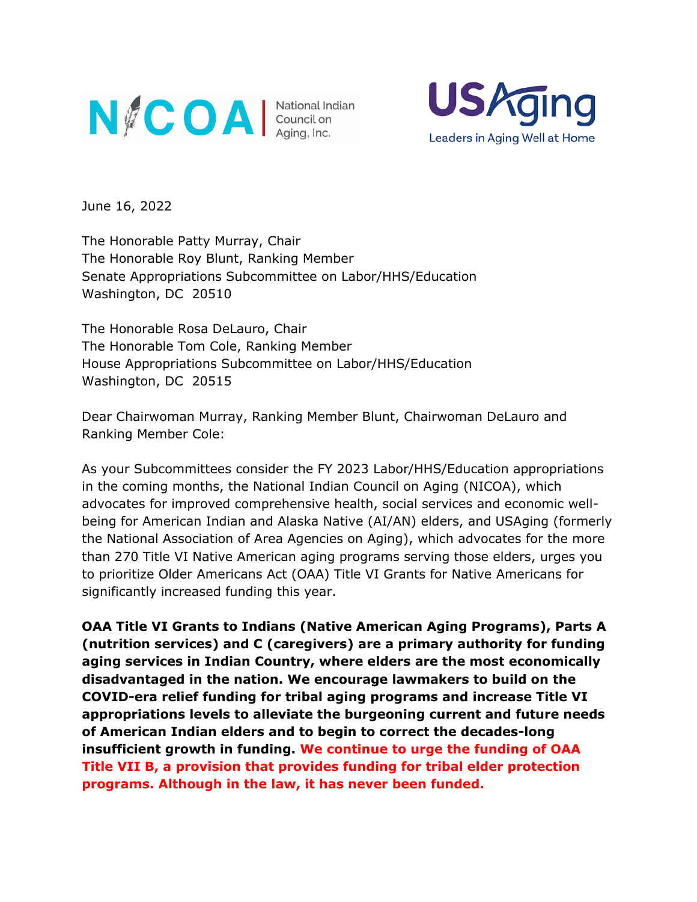



June 16, 2022

The Honorable Patty Murray, Chair The Honorable Roy Blunt, Ranking Member Senate Appropriations Subcommittee on Labor/HHS/Education Washington, DC 20510

The Honorable Rosa DeLauro, Chair The Honorable Tom Cole, Ranking Member House Appropriations Subcommittee on Labor/HHS/Education Washington, DC 20515

Dear Chairwoman Murray, Ranking Member Blunt, Chairwoman DeLauro and Ranking Member Cole:

As your Subcommittees consider the FY 2023 Labor/HHS/Education appropriations in the coming months, the National Indian Council on Aging (NICOA), which advocates for improved comprehensive health, social services and economic wellbeing for American Indian and Alaska Native (AI/AN) elders, and USAging (formerly the National Association of Area Agencies on Aging), which advocates for the more than 270 Title VI Native American aging programs serving those elders, urges you to prioritize Older Americans Act (OAA) Title VI Grants for Native Americans for significantly increased funding this year.

**OAA Title VI Grants to Indians (Native American Aging Programs), Parts A (nutrition services) and C (caregivers) are a primary authority for funding aging services in Indian Country, where elders are the most economically disadvantaged in the nation. We encourage lawmakers to build on the COVID-era relief funding for tribal aging programs and increase Title VI appropriations levels to alleviate the burgeoning current and future needs of American Indian elders and to begin to correct the decades-long insufficient growth in funding. We continue to urge the funding of OAA Title VII B, a provision that provides funding for tribal elder protection programs. Although in the law, it has never been funded.**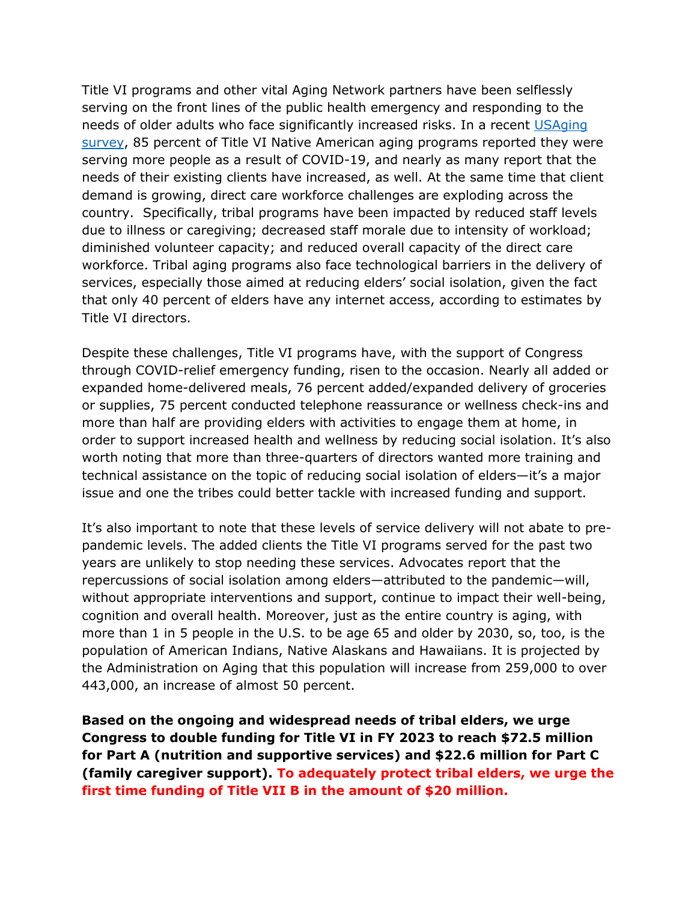Title VI programs and other vital Aging Network partners have been selflessly serving on the front lines of the public health emergency and responding to the needs of older adults who face significantly increased risks. In a recent [USAging](https://www.usaging.org/Files/Title%20VI-Fast%20Facts-Programs-USAging-508.pdf)  [survey,](https://www.usaging.org/Files/Title%20VI-Fast%20Facts-Programs-USAging-508.pdf) 85 percent of Title VI Native American aging programs reported they were serving more people as a result of COVID-19, and nearly as many report that the needs of their existing clients have increased, as well. At the same time that client demand is growing, direct care workforce challenges are exploding across the country. Specifically, tribal programs have been impacted by reduced staff levels due to illness or caregiving; decreased staff morale due to intensity of workload; diminished volunteer capacity; and reduced overall capacity of the direct care workforce. Tribal aging programs also face technological barriers in the delivery of services, especially those aimed at reducing elders' social isolation, given the fact that only 40 percent of elders have any internet access, according to estimates by Title VI directors.

Despite these challenges, Title VI programs have, with the support of Congress through COVID-relief emergency funding, risen to the occasion. Nearly all added or expanded home-delivered meals, 76 percent added/expanded delivery of groceries or supplies, 75 percent conducted telephone reassurance or wellness check-ins and more than half are providing elders with activities to engage them at home, in order to support increased health and wellness by reducing social isolation. It's also worth noting that more than three-quarters of directors wanted more training and technical assistance on the topic of reducing social isolation of elders—it's a major issue and one the tribes could better tackle with increased funding and support.

It's also important to note that these levels of service delivery will not abate to prepandemic levels. The added clients the Title VI programs served for the past two years are unlikely to stop needing these services. Advocates report that the repercussions of social isolation among elders—attributed to the pandemic—will, without appropriate interventions and support, continue to impact their well-being, cognition and overall health. Moreover, just as the entire country is aging, with more than 1 in 5 people in the U.S. to be age 65 and older by 2030, so, too, is the population of American Indians, Native Alaskans and Hawaiians. It is projected by the Administration on Aging that this population will increase from 259,000 to over 443,000, an increase of almost 50 percent.

**Based on the ongoing and widespread needs of tribal elders, we urge Congress to double funding for Title VI in FY 2023 to reach \$72.5 million for Part A (nutrition and supportive services) and \$22.6 million for Part C (family caregiver support). To adequately protect tribal elders, we urge the first time funding of Title VII B in the amount of \$20 million.**